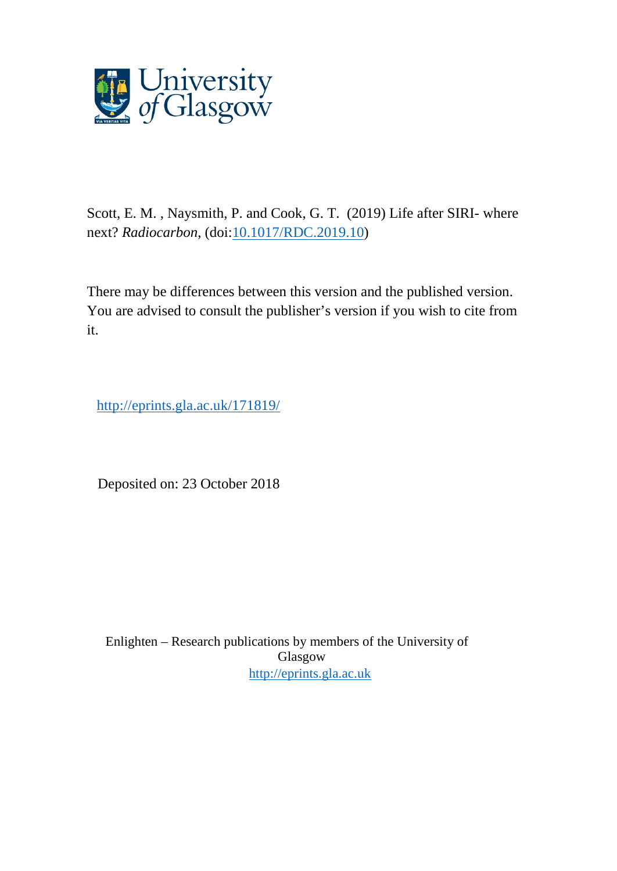

Scott, E. M. , Naysmith, P. and Cook, G. T. (2019) Life after SIRI- where next? *Radiocarbon*, (doi[:10.1017/RDC.2019.10\)](http://dx.doi.org/10.1017/RDC.2019.10)

There may be differences between this version and the published version. You are advised to consult the publisher's version if you wish to cite from it.

http://eprints.gla.ac.uk/171819/

Deposited on: 23 October 2018

Enlighten – Research publications by members of the University of Glasgow [http://eprints.gla.ac.uk](http://eprints.gla.ac.uk/)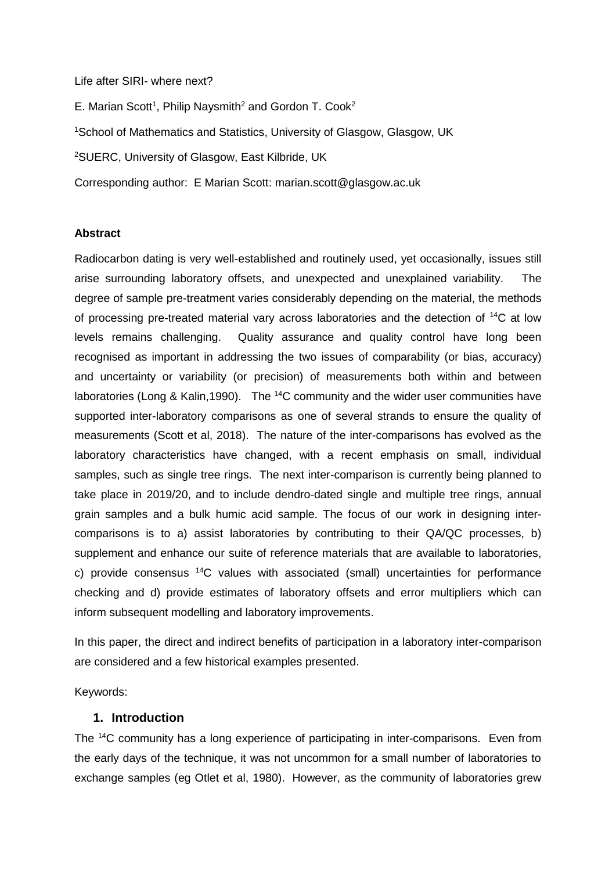### Life after SIRI- where next?

E. Marian Scott<sup>1</sup>, Philip Naysmith<sup>2</sup> and Gordon T. Cook<sup>2</sup> <sup>1</sup>School of Mathematics and Statistics, University of Glasgow, Glasgow, UK <sup>2</sup>SUERC, University of Glasgow, East Kilbride, UK Corresponding author: E Marian Scott: marian.scott@glasgow.ac.uk

## **Abstract**

Radiocarbon dating is very well-established and routinely used, yet occasionally, issues still arise surrounding laboratory offsets, and unexpected and unexplained variability. The degree of sample pre-treatment varies considerably depending on the material, the methods of processing pre-treated material vary across laboratories and the detection of <sup>14</sup>C at low levels remains challenging. Quality assurance and quality control have long been recognised as important in addressing the two issues of comparability (or bias, accuracy) and uncertainty or variability (or precision) of measurements both within and between laboratories (Long & Kalin, 1990). The <sup>14</sup>C community and the wider user communities have supported inter-laboratory comparisons as one of several strands to ensure the quality of measurements (Scott et al, 2018). The nature of the inter-comparisons has evolved as the laboratory characteristics have changed, with a recent emphasis on small, individual samples, such as single tree rings. The next inter-comparison is currently being planned to take place in 2019/20, and to include dendro-dated single and multiple tree rings, annual grain samples and a bulk humic acid sample. The focus of our work in designing intercomparisons is to a) assist laboratories by contributing to their QA/QC processes, b) supplement and enhance our suite of reference materials that are available to laboratories, c) provide consensus <sup>14</sup>C values with associated (small) uncertainties for performance checking and d) provide estimates of laboratory offsets and error multipliers which can inform subsequent modelling and laboratory improvements.

In this paper, the direct and indirect benefits of participation in a laboratory inter-comparison are considered and a few historical examples presented.

Keywords:

# **1. Introduction**

The <sup>14</sup>C community has a long experience of participating in inter-comparisons. Even from the early days of the technique, it was not uncommon for a small number of laboratories to exchange samples (eg Otlet et al, 1980). However, as the community of laboratories grew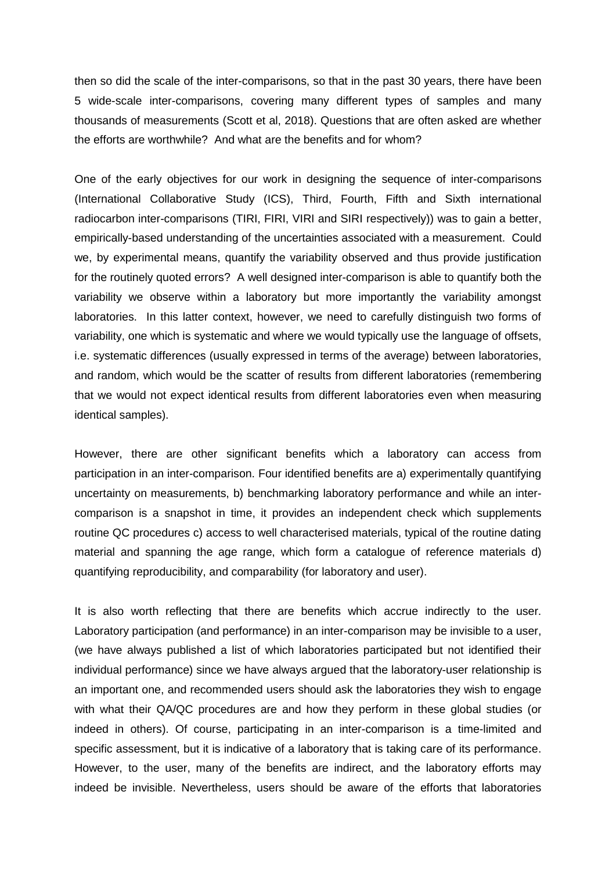then so did the scale of the inter-comparisons, so that in the past 30 years, there have been 5 wide-scale inter-comparisons, covering many different types of samples and many thousands of measurements (Scott et al, 2018). Questions that are often asked are whether the efforts are worthwhile? And what are the benefits and for whom?

One of the early objectives for our work in designing the sequence of inter-comparisons (International Collaborative Study (ICS), Third, Fourth, Fifth and Sixth international radiocarbon inter-comparisons (TIRI, FIRI, VIRI and SIRI respectively)) was to gain a better, empirically-based understanding of the uncertainties associated with a measurement. Could we, by experimental means, quantify the variability observed and thus provide justification for the routinely quoted errors? A well designed inter-comparison is able to quantify both the variability we observe within a laboratory but more importantly the variability amongst laboratories. In this latter context, however, we need to carefully distinguish two forms of variability, one which is systematic and where we would typically use the language of offsets, i.e. systematic differences (usually expressed in terms of the average) between laboratories, and random, which would be the scatter of results from different laboratories (remembering that we would not expect identical results from different laboratories even when measuring identical samples).

However, there are other significant benefits which a laboratory can access from participation in an inter-comparison. Four identified benefits are a) experimentally quantifying uncertainty on measurements, b) benchmarking laboratory performance and while an intercomparison is a snapshot in time, it provides an independent check which supplements routine QC procedures c) access to well characterised materials, typical of the routine dating material and spanning the age range, which form a catalogue of reference materials d) quantifying reproducibility, and comparability (for laboratory and user).

It is also worth reflecting that there are benefits which accrue indirectly to the user. Laboratory participation (and performance) in an inter-comparison may be invisible to a user, (we have always published a list of which laboratories participated but not identified their individual performance) since we have always argued that the laboratory-user relationship is an important one, and recommended users should ask the laboratories they wish to engage with what their QA/QC procedures are and how they perform in these global studies (or indeed in others). Of course, participating in an inter-comparison is a time-limited and specific assessment, but it is indicative of a laboratory that is taking care of its performance. However, to the user, many of the benefits are indirect, and the laboratory efforts may indeed be invisible. Nevertheless, users should be aware of the efforts that laboratories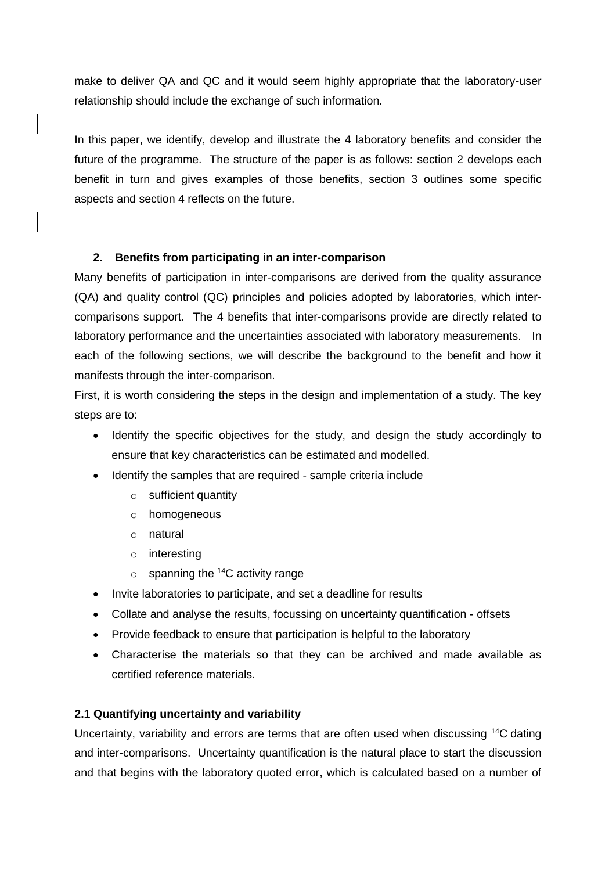make to deliver QA and QC and it would seem highly appropriate that the laboratory-user relationship should include the exchange of such information.

In this paper, we identify, develop and illustrate the 4 laboratory benefits and consider the future of the programme. The structure of the paper is as follows: section 2 develops each benefit in turn and gives examples of those benefits, section 3 outlines some specific aspects and section 4 reflects on the future.

# **2. Benefits from participating in an inter-comparison**

Many benefits of participation in inter-comparisons are derived from the quality assurance (QA) and quality control (QC) principles and policies adopted by laboratories, which intercomparisons support. The 4 benefits that inter-comparisons provide are directly related to laboratory performance and the uncertainties associated with laboratory measurements. In each of the following sections, we will describe the background to the benefit and how it manifests through the inter-comparison.

First, it is worth considering the steps in the design and implementation of a study. The key steps are to:

- Identify the specific objectives for the study, and design the study accordingly to ensure that key characteristics can be estimated and modelled.
- Identify the samples that are required sample criteria include
	- o sufficient quantity
	- o homogeneous
	- o natural
	- o interesting
	- $\circ$  spanning the <sup>14</sup>C activity range
- Invite laboratories to participate, and set a deadline for results
- Collate and analyse the results, focussing on uncertainty quantification offsets
- Provide feedback to ensure that participation is helpful to the laboratory
- Characterise the materials so that they can be archived and made available as certified reference materials.

# **2.1 Quantifying uncertainty and variability**

Uncertainty, variability and errors are terms that are often used when discussing <sup>14</sup>C dating and inter-comparisons. Uncertainty quantification is the natural place to start the discussion and that begins with the laboratory quoted error, which is calculated based on a number of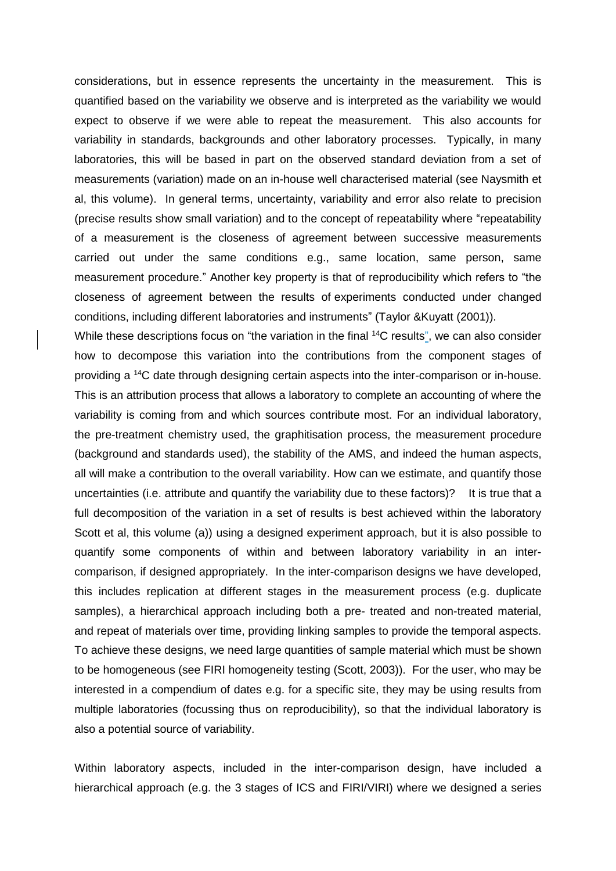considerations, but in essence represents the uncertainty in the measurement. This is quantified based on the variability we observe and is interpreted as the variability we would expect to observe if we were able to repeat the measurement. This also accounts for variability in standards, backgrounds and other laboratory processes. Typically, in many laboratories, this will be based in part on the observed standard deviation from a set of measurements (variation) made on an in-house well characterised material (see Naysmith et al, this volume). In general terms, uncertainty, variability and error also relate to precision (precise results show small variation) and to the concept of repeatability where "repeatability of a measurement is the closeness of agreement between successive measurements carried out under the same conditions e.g., same location, same person, same measurement procedure." Another key property is that of reproducibility which refers to "the closeness of agreement between the results of experiments conducted under changed conditions, including different laboratories and instruments" (Taylor &Kuyatt (2001)).

While these descriptions focus on "the variation in the final <sup>14</sup>C results", we can also consider how to decompose this variation into the contributions from the component stages of providing a <sup>14</sup>C date through designing certain aspects into the inter-comparison or in-house. This is an attribution process that allows a laboratory to complete an accounting of where the variability is coming from and which sources contribute most. For an individual laboratory, the pre-treatment chemistry used, the graphitisation process, the measurement procedure (background and standards used), the stability of the AMS, and indeed the human aspects, all will make a contribution to the overall variability. How can we estimate, and quantify those uncertainties (i.e. attribute and quantify the variability due to these factors)? It is true that a full decomposition of the variation in a set of results is best achieved within the laboratory Scott et al, this volume (a)) using a designed experiment approach, but it is also possible to quantify some components of within and between laboratory variability in an intercomparison, if designed appropriately. In the inter-comparison designs we have developed, this includes replication at different stages in the measurement process (e.g. duplicate samples), a hierarchical approach including both a pre- treated and non-treated material, and repeat of materials over time, providing linking samples to provide the temporal aspects. To achieve these designs, we need large quantities of sample material which must be shown to be homogeneous (see FIRI homogeneity testing (Scott, 2003)). For the user, who may be interested in a compendium of dates e.g. for a specific site, they may be using results from multiple laboratories (focussing thus on reproducibility), so that the individual laboratory is also a potential source of variability.

Within laboratory aspects, included in the inter-comparison design, have included a hierarchical approach (e.g. the 3 stages of ICS and FIRI/VIRI) where we designed a series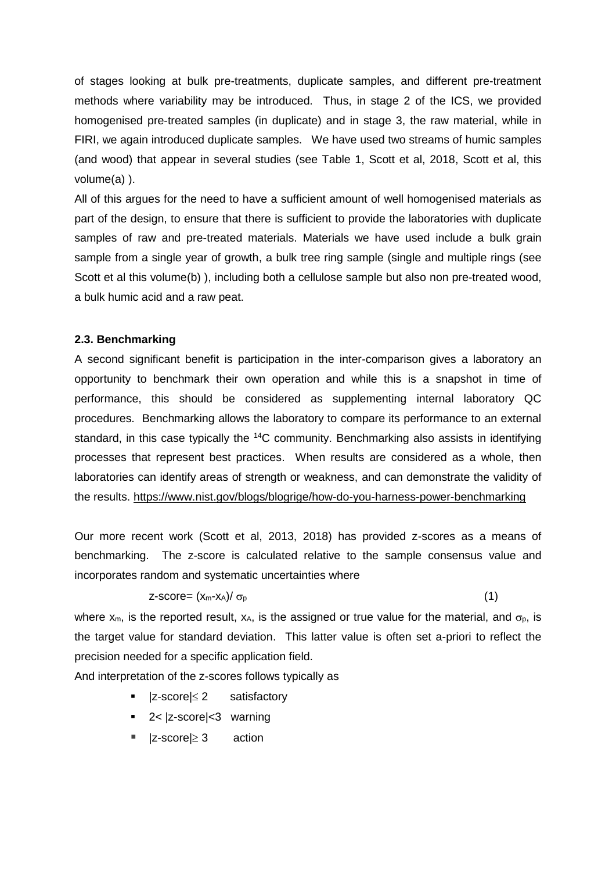of stages looking at bulk pre-treatments, duplicate samples, and different pre-treatment methods where variability may be introduced. Thus, in stage 2 of the ICS, we provided homogenised pre-treated samples (in duplicate) and in stage 3, the raw material, while in FIRI, we again introduced duplicate samples. We have used two streams of humic samples (and wood) that appear in several studies (see Table 1, Scott et al, 2018, Scott et al, this volume(a) ).

All of this argues for the need to have a sufficient amount of well homogenised materials as part of the design, to ensure that there is sufficient to provide the laboratories with duplicate samples of raw and pre-treated materials. Materials we have used include a bulk grain sample from a single year of growth, a bulk tree ring sample (single and multiple rings (see Scott et al this volume(b) ), including both a cellulose sample but also non pre-treated wood, a bulk humic acid and a raw peat.

#### **2.3. Benchmarking**

A second significant benefit is participation in the inter-comparison gives a laboratory an opportunity to benchmark their own operation and while this is a snapshot in time of performance, this should be considered as supplementing internal laboratory QC procedures. Benchmarking allows the laboratory to compare its performance to an external standard, in this case typically the <sup>14</sup>C community. Benchmarking also assists in identifying processes that represent best practices. When results are considered as a whole, then laboratories can identify areas of strength or weakness, and can demonstrate the validity of the results. <https://www.nist.gov/blogs/blogrige/how-do-you-harness-power-benchmarking>

Our more recent work (Scott et al, 2013, 2018) has provided z-scores as a means of benchmarking. The z-score is calculated relative to the sample consensus value and incorporates random and systematic uncertainties where

#### $\text{z-score} = \frac{(\text{x}_m - \text{x}_A)}{\sigma_p}$  (1)

where  $x_m$ , is the reported result,  $x_A$ , is the assigned or true value for the material, and  $\sigma_p$ , is the target value for standard deviation. This latter value is often set a-priori to reflect the precision needed for a specific application field.

And interpretation of the z-scores follows typically as

- $|z\text{-}score| \leq 2$  satisfactory
- 2< |z-score|<3 warning
- $|z\text{-score}| \geq 3$  action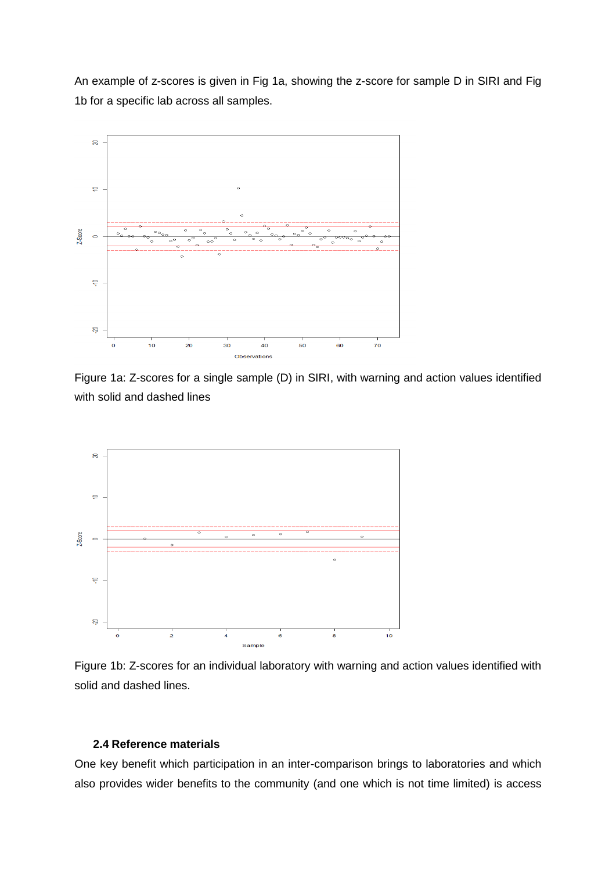An example of z-scores is given in Fig 1a, showing the z-score for sample D in SIRI and Fig 1b for a specific lab across all samples.



Figure 1a: Z-scores for a single sample (D) in SIRI, with warning and action values identified with solid and dashed lines



Figure 1b: Z-scores for an individual laboratory with warning and action values identified with solid and dashed lines.

### **2.4 Reference materials**

One key benefit which participation in an inter-comparison brings to laboratories and which also provides wider benefits to the community (and one which is not time limited) is access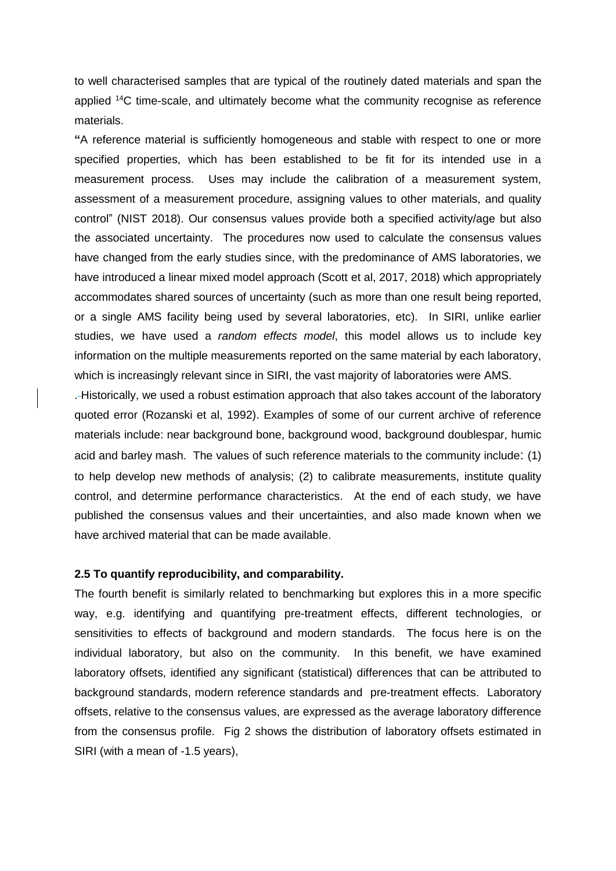to well characterised samples that are typical of the routinely dated materials and span the applied  $14C$  time-scale, and ultimately become what the community recognise as reference materials.

**"**A reference material is sufficiently homogeneous and stable with respect to one or more specified properties, which has been established to be fit for its intended use in a measurement process. Uses may include the calibration of a measurement system, assessment of a measurement procedure, assigning values to other materials, and quality control" (NIST 2018). Our consensus values provide both a specified activity/age but also the associated uncertainty. The procedures now used to calculate the consensus values have changed from the early studies since, with the predominance of AMS laboratories, we have introduced a linear mixed model approach (Scott et al, 2017, 2018) which appropriately accommodates shared sources of uncertainty (such as more than one result being reported, or a single AMS facility being used by several laboratories, etc). In SIRI, unlike earlier studies, we have used a *random effects model*, this model allows us to include key information on the multiple measurements reported on the same material by each laboratory, which is increasingly relevant since in SIRI, the vast majority of laboratories were AMS.

. Historically, we used a robust estimation approach that also takes account of the laboratory quoted error (Rozanski et al, 1992). Examples of some of our current archive of reference materials include: near background bone, background wood, background doublespar, humic acid and barley mash. The values of such reference materials to the community include: (1) to help develop new methods of analysis; (2) to calibrate measurements, institute quality control, and determine performance characteristics. At the end of each study, we have published the consensus values and their uncertainties, and also made known when we have archived material that can be made available.

### **2.5 To quantify reproducibility, and comparability.**

The fourth benefit is similarly related to benchmarking but explores this in a more specific way, e.g. identifying and quantifying pre-treatment effects, different technologies, or sensitivities to effects of background and modern standards. The focus here is on the individual laboratory, but also on the community. In this benefit, we have examined laboratory offsets, identified any significant (statistical) differences that can be attributed to background standards, modern reference standards and pre-treatment effects. Laboratory offsets, relative to the consensus values, are expressed as the average laboratory difference from the consensus profile. Fig 2 shows the distribution of laboratory offsets estimated in SIRI (with a mean of -1.5 years),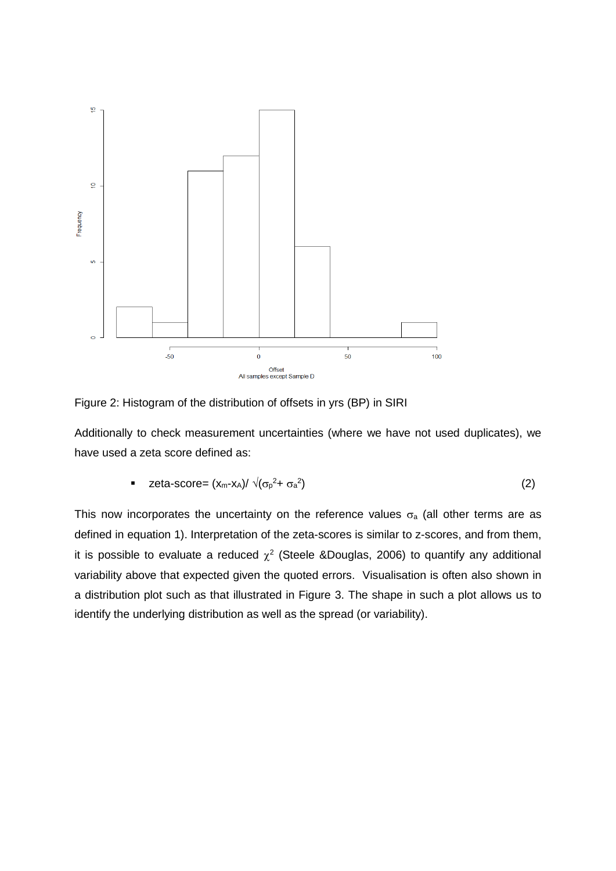

Figure 2: Histogram of the distribution of offsets in yrs (BP) in SIRI

Additionally to check measurement uncertainties (where we have not used duplicates), we have used a zeta score defined as:

■ zeta-score = 
$$
(x_m-x_A)/\sqrt{(\sigma_p^2+\sigma_a^2)}
$$
 (2)

This now incorporates the uncertainty on the reference values  $\sigma$ <sub>a</sub> (all other terms are as defined in equation 1). Interpretation of the zeta-scores is similar to z-scores, and from them, it is possible to evaluate a reduced  $\chi^2$  (Steele &Douglas, 2006) to quantify any additional variability above that expected given the quoted errors. Visualisation is often also shown in a distribution plot such as that illustrated in Figure 3. The shape in such a plot allows us to identify the underlying distribution as well as the spread (or variability).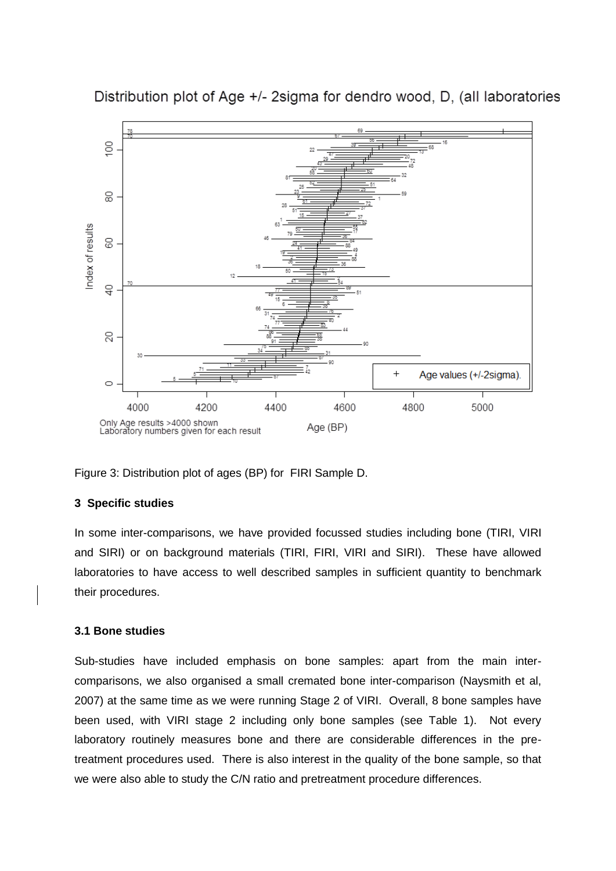

Distribution plot of Age +/- 2sigma for dendro wood, D, (all laboratories

Figure 3: Distribution plot of ages (BP) for FIRI Sample D.

# **3 Specific studies**

In some inter-comparisons, we have provided focussed studies including bone (TIRI, VIRI and SIRI) or on background materials (TIRI, FIRI, VIRI and SIRI). These have allowed laboratories to have access to well described samples in sufficient quantity to benchmark their procedures.

## **3.1 Bone studies**

Sub-studies have included emphasis on bone samples: apart from the main intercomparisons, we also organised a small cremated bone inter-comparison (Naysmith et al, 2007) at the same time as we were running Stage 2 of VIRI. Overall, 8 bone samples have been used, with VIRI stage 2 including only bone samples (see Table 1). Not every laboratory routinely measures bone and there are considerable differences in the pretreatment procedures used. There is also interest in the quality of the bone sample, so that we were also able to study the C/N ratio and pretreatment procedure differences.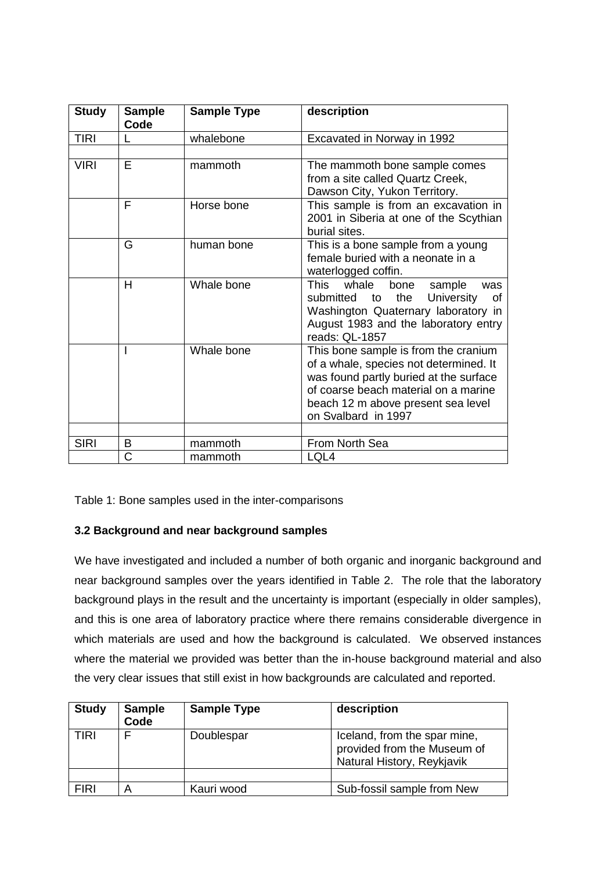| <b>Study</b> | <b>Sample</b><br>Code | <b>Sample Type</b> | description                                                                                                                                                                                                                   |
|--------------|-----------------------|--------------------|-------------------------------------------------------------------------------------------------------------------------------------------------------------------------------------------------------------------------------|
| <b>TIRI</b>  |                       | whalebone          | Excavated in Norway in 1992                                                                                                                                                                                                   |
|              |                       |                    |                                                                                                                                                                                                                               |
| <b>VIRI</b>  | E                     | mammoth            | The mammoth bone sample comes<br>from a site called Quartz Creek,<br>Dawson City, Yukon Territory.                                                                                                                            |
|              | F                     | Horse bone         | This sample is from an excavation in<br>2001 in Siberia at one of the Scythian<br>burial sites.                                                                                                                               |
|              | G                     | human bone         | This is a bone sample from a young<br>female buried with a neonate in a<br>waterlogged coffin.                                                                                                                                |
|              | н                     | Whale bone         | This<br>whale<br>bone<br>sample<br>was<br>submitted to<br>the<br>University<br>οf<br>Washington Quaternary laboratory in<br>August 1983 and the laboratory entry<br>reads: QL-1857                                            |
|              |                       | Whale bone         | This bone sample is from the cranium<br>of a whale, species not determined. It<br>was found partly buried at the surface<br>of coarse beach material on a marine<br>beach 12 m above present sea level<br>on Svalbard in 1997 |
|              |                       |                    |                                                                                                                                                                                                                               |
| <b>SIRI</b>  | В                     | mammoth            | From North Sea                                                                                                                                                                                                                |
|              | Ć                     | mammoth            | LQL4                                                                                                                                                                                                                          |

Table 1: Bone samples used in the inter-comparisons

# **3.2 Background and near background samples**

We have investigated and included a number of both organic and inorganic background and near background samples over the years identified in Table 2. The role that the laboratory background plays in the result and the uncertainty is important (especially in older samples), and this is one area of laboratory practice where there remains considerable divergence in which materials are used and how the background is calculated. We observed instances where the material we provided was better than the in-house background material and also the very clear issues that still exist in how backgrounds are calculated and reported.

| <b>Study</b> | <b>Sample</b><br>Code | <b>Sample Type</b> | description                                                                               |
|--------------|-----------------------|--------------------|-------------------------------------------------------------------------------------------|
| <b>TIRI</b>  |                       | Doublespar         | Iceland, from the spar mine,<br>provided from the Museum of<br>Natural History, Reykjavik |
|              |                       |                    |                                                                                           |
| <b>FIRI</b>  |                       | Kauri wood         | Sub-fossil sample from New                                                                |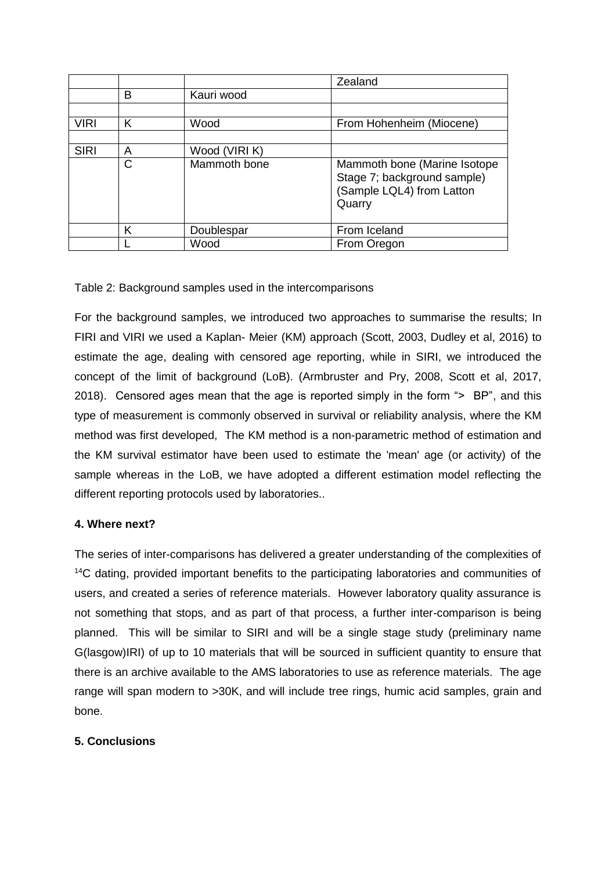|             |   |               | Zealand                                                                                            |
|-------------|---|---------------|----------------------------------------------------------------------------------------------------|
|             | в | Kauri wood    |                                                                                                    |
|             |   |               |                                                                                                    |
| <b>VIRI</b> | Κ | Wood          | From Hohenheim (Miocene)                                                                           |
|             |   |               |                                                                                                    |
| <b>SIRI</b> | Α | Wood (VIRI K) |                                                                                                    |
|             | С | Mammoth bone  | Mammoth bone (Marine Isotope<br>Stage 7; background sample)<br>(Sample LQL4) from Latton<br>Quarry |
|             | κ | Doublespar    | From Iceland                                                                                       |
|             |   | Wood          | From Oregon                                                                                        |

Table 2: Background samples used in the intercomparisons

For the background samples, we introduced two approaches to summarise the results; In FIRI and VIRI we used a Kaplan- Meier (KM) approach (Scott, 2003, Dudley et al, 2016) to estimate the age, dealing with censored age reporting, while in SIRI, we introduced the concept of the limit of background (LoB). (Armbruster and Pry, 2008, Scott et al, 2017, 2018). Censored ages mean that the age is reported simply in the form "> BP", and this type of measurement is commonly observed in survival or reliability analysis, where the KM method was first developed, The KM method is a non-parametric method of estimation and the KM survival estimator have been used to estimate the 'mean' age (or activity) of the sample whereas in the LoB, we have adopted a different estimation model reflecting the different reporting protocols used by laboratories..

# **4. Where next?**

The series of inter-comparisons has delivered a greater understanding of the complexities of <sup>14</sup>C dating, provided important benefits to the participating laboratories and communities of users, and created a series of reference materials. However laboratory quality assurance is not something that stops, and as part of that process, a further inter-comparison is being planned. This will be similar to SIRI and will be a single stage study (preliminary name G(lasgow)IRI) of up to 10 materials that will be sourced in sufficient quantity to ensure that there is an archive available to the AMS laboratories to use as reference materials. The age range will span modern to >30K, and will include tree rings, humic acid samples, grain and bone.

# **5. Conclusions**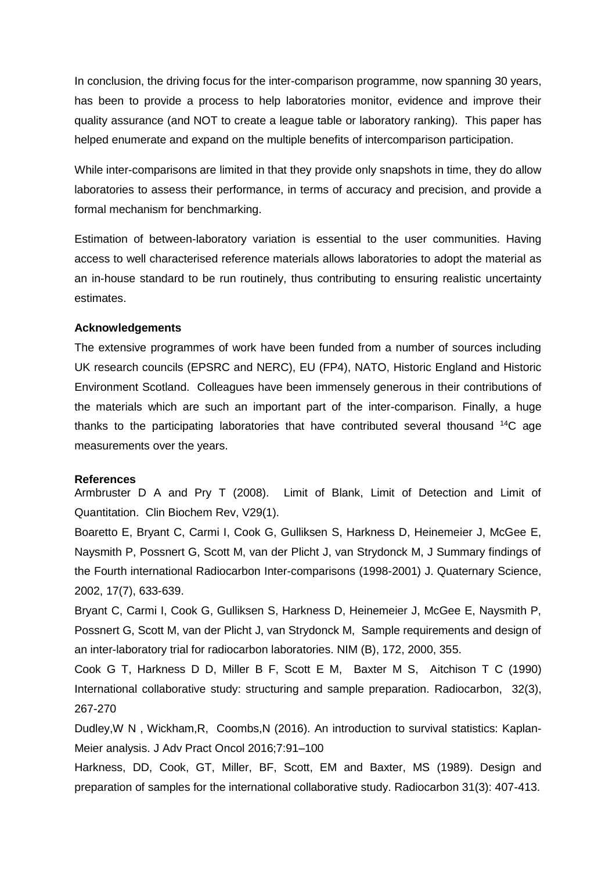In conclusion, the driving focus for the inter-comparison programme, now spanning 30 years, has been to provide a process to help laboratories monitor, evidence and improve their quality assurance (and NOT to create a league table or laboratory ranking). This paper has helped enumerate and expand on the multiple benefits of intercomparison participation.

While inter-comparisons are limited in that they provide only snapshots in time, they do allow laboratories to assess their performance, in terms of accuracy and precision, and provide a formal mechanism for benchmarking.

Estimation of between-laboratory variation is essential to the user communities. Having access to well characterised reference materials allows laboratories to adopt the material as an in-house standard to be run routinely, thus contributing to ensuring realistic uncertainty estimates.

## **Acknowledgements**

The extensive programmes of work have been funded from a number of sources including UK research councils (EPSRC and NERC), EU (FP4), NATO, Historic England and Historic Environment Scotland. Colleagues have been immensely generous in their contributions of the materials which are such an important part of the inter-comparison. Finally, a huge thanks to the participating laboratories that have contributed several thousand  $14C$  age measurements over the years.

#### **References**

Armbruster D A and Pry T (2008). Limit of Blank, Limit of Detection and Limit of Quantitation. [Clin Biochem Rev,](http://www.ncbi.nlm.nih.gov/pmc/journals/314/) V29(1).

Boaretto E, Bryant C, Carmi I, Cook G, Gulliksen S, Harkness D, Heinemeier J, McGee E, Naysmith P, Possnert G, Scott M, van der Plicht J, van Strydonck M, J Summary findings of the Fourth international Radiocarbon Inter-comparisons (1998-2001) J. Quaternary Science, 2002, 17(7), 633-639.

Bryant C, Carmi I, Cook G, Gulliksen S, Harkness D, Heinemeier J, McGee E, Naysmith P, Possnert G, Scott M, van der Plicht J, van Strydonck M, Sample requirements and design of an inter-laboratory trial for radiocarbon laboratories. NIM (B), 172, 2000, 355.

Cook G T, Harkness D D, Miller B F, Scott E M, Baxter M S, Aitchison T C (1990) International collaborative study: structuring and sample preparation. Radiocarbon, 32(3), 267-270

Dudley,W N , Wickham,R, Coombs,N (2016). An introduction to survival statistics: Kaplan-Meier analysis. J Adv Pract Oncol 2016;7:91–100

Harkness, DD, Cook, GT, Miller, BF, Scott, EM and Baxter, MS (1989). Design and preparation of samples for the international collaborative study. Radiocarbon 31(3): 407-413.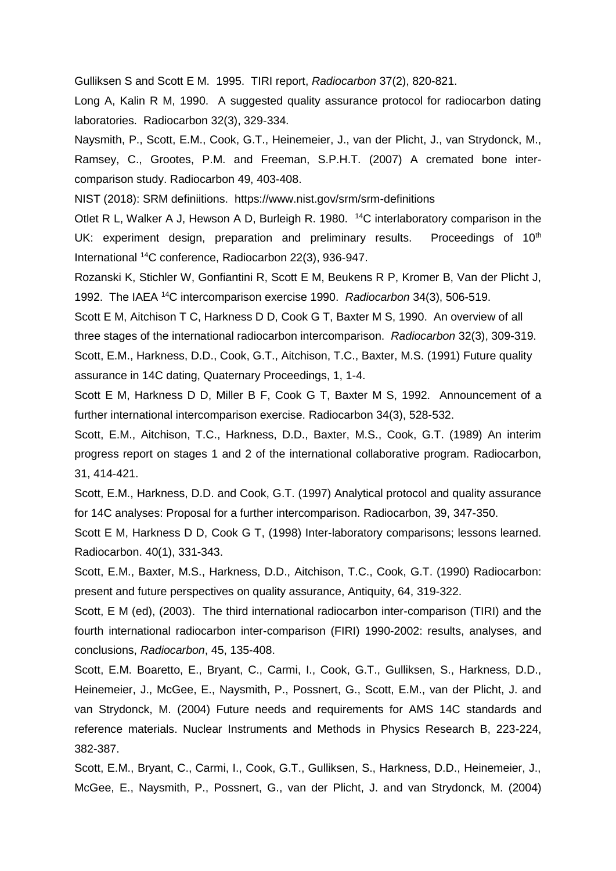Gulliksen S and Scott E M. 1995. TIRI report, *Radiocarbon* 37(2), 820-821.

Long A, Kalin R M, 1990. A suggested quality assurance protocol for radiocarbon dating laboratories. Radiocarbon 32(3), 329-334.

Naysmith, P., Scott, E.M., Cook, G.T., Heinemeier, J., van der Plicht, J., van Strydonck, M., Ramsey, C., Grootes, P.M. and Freeman, S.P.H.T. (2007) A cremated bone intercomparison study. Radiocarbon 49, 403-408.

NIST (2018): SRM definiitions. https://www.nist.gov/srm/srm-definitions

Otlet R L, Walker A J, Hewson A D, Burleigh R. 1980. <sup>14</sup>C interlaboratory comparison in the UK: experiment design, preparation and preliminary results. Proceedings of  $10<sup>th</sup>$ International <sup>14</sup>C conference, Radiocarbon 22(3), 936-947.

Rozanski K, Stichler W, Gonfiantini R, Scott E M, Beukens R P, Kromer B, Van der Plicht J, 1992. The IAEA <sup>14</sup>C intercomparison exercise 1990. *Radiocarbon* 34(3), 506-519.

Scott E M, Aitchison T C, Harkness D D, Cook G T, Baxter M S, 1990. An overview of all three stages of the international radiocarbon intercomparison. *Radiocarbon* 32(3), 309-319. Scott, E.M., Harkness, D.D., Cook, G.T., Aitchison, T.C., Baxter, M.S. (1991) Future quality assurance in 14C dating, Quaternary Proceedings, 1, 1-4.

Scott E M, Harkness D D, Miller B F, Cook G T, Baxter M S, 1992. Announcement of a further international intercomparison exercise. Radiocarbon 34(3), 528-532.

Scott, E.M., Aitchison, T.C., Harkness, D.D., Baxter, M.S., Cook, G.T. (1989) An interim progress report on stages 1 and 2 of the international collaborative program. Radiocarbon, 31, 414-421.

Scott, E.M., Harkness, D.D. and Cook, G.T. (1997) Analytical protocol and quality assurance for 14C analyses: Proposal for a further intercomparison. Radiocarbon, 39, 347-350.

Scott E M, Harkness D D, Cook G T, (1998) Inter-laboratory comparisons; lessons learned. Radiocarbon. 40(1), 331-343.

Scott, E.M., Baxter, M.S., Harkness, D.D., Aitchison, T.C., Cook, G.T. (1990) Radiocarbon: present and future perspectives on quality assurance, Antiquity, 64, 319-322.

Scott, E M (ed), (2003). The third international radiocarbon inter-comparison (TIRI) and the fourth international radiocarbon inter-comparison (FIRI) 1990-2002: results, analyses, and conclusions, *Radiocarbon*, 45, 135-408.

Scott, E.M. Boaretto, E., Bryant, C., Carmi, I., Cook, G.T., Gulliksen, S., Harkness, D.D., Heinemeier, J., McGee, E., Naysmith, P., Possnert, G., Scott, E.M., van der Plicht, J. and van Strydonck, M. (2004) Future needs and requirements for AMS 14C standards and reference materials. Nuclear Instruments and Methods in Physics Research B, 223-224, 382-387.

Scott, E.M., Bryant, C., Carmi, I., Cook, G.T., Gulliksen, S., Harkness, D.D., Heinemeier, J., McGee, E., Naysmith, P., Possnert, G., van der Plicht, J. and van Strydonck, M. (2004)